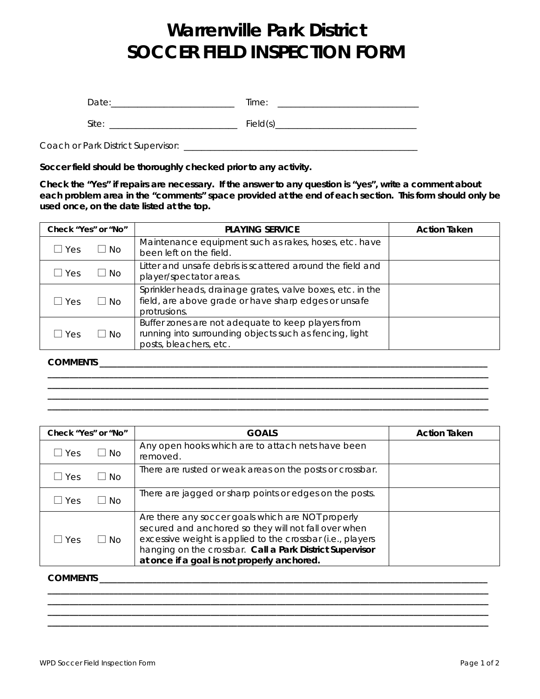## **Warrenville Park District SOCCER FIELD INSPECTION FORM**

| Date:                              | Time:    |
|------------------------------------|----------|
| Site:                              | Field(s) |
| Coach or Park District Supervisor: |          |

**Soccer field should be thoroughly checked prior to any activity.** 

**Check the "Yes" if repairs are necessary. If the answer to any question is "yes", write a comment about each problem area in the "comments" space provided at the end of each section. This form should only be used once, on the date listed at the top.** 

| Check "Yes" or "No" |           | <b>PLAYING SERVICE</b>                                                                                                                  | <b>Action Taken</b> |
|---------------------|-----------|-----------------------------------------------------------------------------------------------------------------------------------------|---------------------|
| $\sqcup$ Yes        | $\Box$ No | Maintenance equipment such as rakes, hoses, etc. have<br>been left on the field.                                                        |                     |
| I Yes               | $\Box$ No | Litter and unsafe debris is scattered around the field and<br>player/spectator areas.                                                   |                     |
| Yes                 | $\Box$ No | Sprinkler heads, drainage grates, valve boxes, etc. in the<br>field, are above grade or have sharp edges or unsafe<br>protrusions.      |                     |
| Yes                 | $\Box$ No | Buffer zones are not adequate to keep players from<br>running into surrounding objects such as fencing, light<br>posts, bleachers, etc. |                     |

**COMMENTS \_\_\_\_\_\_\_\_\_\_\_\_\_\_\_\_\_\_\_\_\_\_\_\_\_\_\_\_\_\_\_\_\_\_\_\_\_\_\_\_\_\_\_\_\_\_\_\_\_\_\_\_\_\_\_\_\_\_\_\_\_\_\_\_\_\_\_\_\_\_\_\_\_\_\_\_\_\_\_\_\_\_\_\_\_\_\_\_**

| Check "Yes" or "No" |           | <b>GOALS</b>                                                                                                                                                                                                                                                                       | <b>Action Taken</b> |
|---------------------|-----------|------------------------------------------------------------------------------------------------------------------------------------------------------------------------------------------------------------------------------------------------------------------------------------|---------------------|
| Yes                 | $\Box$ No | Any open hooks which are to attach nets have been<br>removed.                                                                                                                                                                                                                      |                     |
| Yes                 | ∟l No     | There are rusted or weak areas on the posts or crossbar.                                                                                                                                                                                                                           |                     |
| Yes                 | l I No    | There are jagged or sharp points or edges on the posts.                                                                                                                                                                                                                            |                     |
| Yes                 | $\Box$ No | Are there any soccer goals which are NOT properly<br>secured and anchored so they will not fall over when<br>excessive weight is applied to the crossbar (i.e., players<br>hanging on the crossbar. Call a Park District Supervisor<br>at once if a goal is not properly anchored. |                     |

**\_\_\_\_\_\_\_\_\_\_\_\_\_\_\_\_\_\_\_\_\_\_\_\_\_\_\_\_\_\_\_\_\_\_\_\_\_\_\_\_\_\_\_\_\_\_\_\_\_\_\_\_\_\_\_\_\_\_\_\_\_\_\_\_\_\_\_\_\_\_\_\_\_\_\_\_\_\_\_\_\_\_\_\_\_\_\_\_\_\_\_\_\_\_\_\_\_\_\_\_ \_\_\_\_\_\_\_\_\_\_\_\_\_\_\_\_\_\_\_\_\_\_\_\_\_\_\_\_\_\_\_\_\_\_\_\_\_\_\_\_\_\_\_\_\_\_\_\_\_\_\_\_\_\_\_\_\_\_\_\_\_\_\_\_\_\_\_\_\_\_\_\_\_\_\_\_\_\_\_\_\_\_\_\_\_\_\_\_\_\_\_\_\_\_\_\_\_\_\_\_ \_\_\_\_\_\_\_\_\_\_\_\_\_\_\_\_\_\_\_\_\_\_\_\_\_\_\_\_\_\_\_\_\_\_\_\_\_\_\_\_\_\_\_\_\_\_\_\_\_\_\_\_\_\_\_\_\_\_\_\_\_\_\_\_\_\_\_\_\_\_\_\_\_\_\_\_\_\_\_\_\_\_\_\_\_\_\_\_\_\_\_\_\_\_\_\_\_\_\_\_ \_\_\_\_\_\_\_\_\_\_\_\_\_\_\_\_\_\_\_\_\_\_\_\_\_\_\_\_\_\_\_\_\_\_\_\_\_\_\_\_\_\_\_\_\_\_\_\_\_\_\_\_\_\_\_\_\_\_\_\_\_\_\_\_\_\_\_\_\_\_\_\_\_\_\_\_\_\_\_\_\_\_\_\_\_\_\_\_\_\_\_\_\_\_\_\_\_\_\_\_**

## **COMMENTS \_\_\_\_\_\_\_\_\_\_\_\_\_\_\_\_\_\_\_\_\_\_\_\_\_\_\_\_\_\_\_\_\_\_\_\_\_\_\_\_\_\_\_\_\_\_\_\_\_\_\_\_\_\_\_\_\_\_\_\_\_\_\_\_\_\_\_\_\_\_\_\_\_\_\_\_\_\_\_\_\_\_\_\_\_\_\_\_**